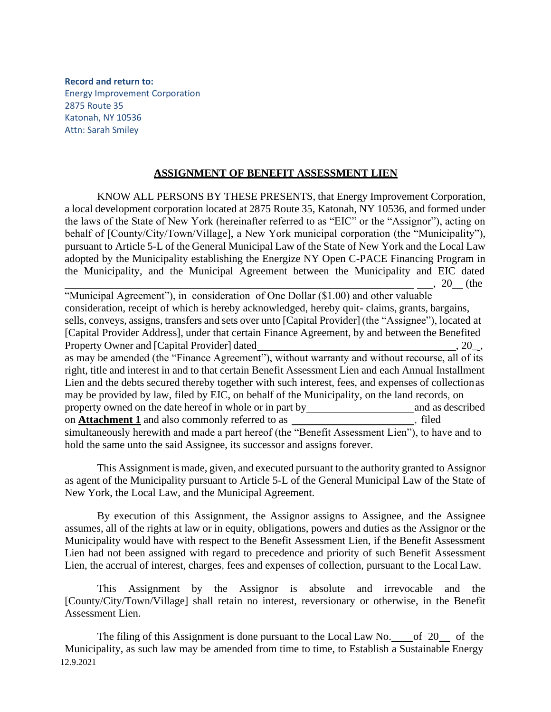**Record and return to:** Energy Improvement Corporation 2875 Route 35 Katonah, NY 10536 Attn: Sarah Smiley

## **ASSIGNMENT OF BENEFIT ASSESSMENT LIEN**

KNOW ALL PERSONS BY THESE PRESENTS, that Energy Improvement Corporation, a local development corporation located at 2875 Route 35, Katonah, NY 10536, and formed under the laws of the State of New York (hereinafter referred to as "EIC" or the "Assignor"), acting on behalf of [County/City/Town/Village], a New York municipal corporation (the "Municipality"), pursuant to Article 5-L of the General Municipal Law of the State of New York and the Local Law adopted by the Municipality establishing the Energize NY Open C-PACE Financing Program in the Municipality, and the Municipal Agreement between the Municipality and EIC dated , 20 (the

"Municipal Agreement"), in consideration of One Dollar (\$1.00) and other valuable consideration, receipt of which is hereby acknowledged, hereby quit- claims, grants, bargains, sells, conveys, assigns, transfers and sets over unto [Capital Provider] (the "Assignee"), located at [Capital Provider Address], under that certain Finance Agreement, by and between the Benefited Property Owner and [Capital Provider] dated , 20\_, as may be amended (the "Finance Agreement"), without warranty and without recourse, all of its right, title and interest in and to that certain Benefit Assessment Lien and each Annual Installment Lien and the debts secured thereby together with such interest, fees, and expenses of collectionas may be provided by law, filed by EIC, on behalf of the Municipality, on the land records, on property owned on the date hereof in whole or in part by and as described on **Attachment 1** and also commonly referred to as \_\_\_\_\_\_\_\_\_\_\_\_\_\_\_\_\_\_\_\_\_\_, filed simultaneously herewith and made a part hereof (the "Benefit Assessment Lien"), to have and to hold the same unto the said Assignee, its successor and assigns forever.

This Assignment is made, given, and executed pursuant to the authority granted to Assignor as agent of the Municipality pursuant to Article 5-L of the General Municipal Law of the State of New York, the Local Law, and the Municipal Agreement.

By execution of this Assignment, the Assignor assigns to Assignee, and the Assignee assumes, all of the rights at law or in equity, obligations, powers and duties as the Assignor or the Municipality would have with respect to the Benefit Assessment Lien, if the Benefit Assessment Lien had not been assigned with regard to precedence and priority of such Benefit Assessment Lien, the accrual of interest, charges, fees and expenses of collection, pursuant to the LocalLaw.

This Assignment by the Assignor is absolute and irrevocable and the [County/City/Town/Village] shall retain no interest, reversionary or otherwise, in the Benefit Assessment Lien.

12.9.2021 The filing of this Assignment is done pursuant to the Local Law No.  $\_\_$  of 20  $\_\_$  of the Municipality, as such law may be amended from time to time, to Establish a Sustainable Energy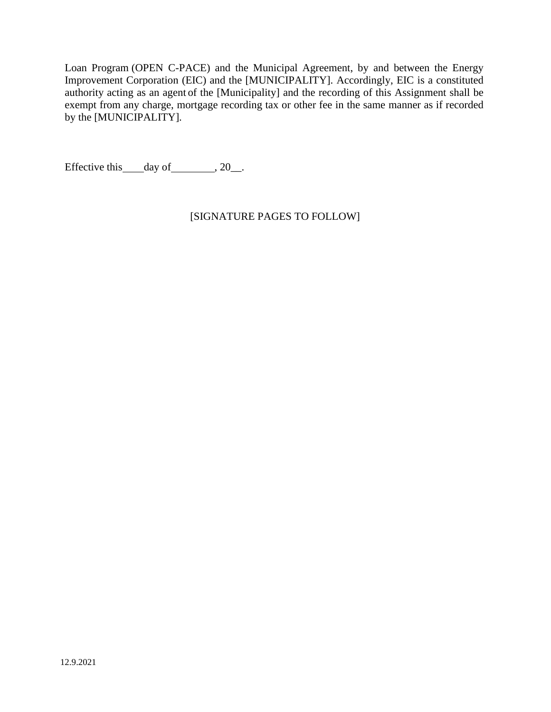Loan Program (OPEN C-PACE) and the Municipal Agreement, by and between the Energy Improvement Corporation (EIC) and the [MUNICIPALITY]. Accordingly, EIC is a constituted authority acting as an agent of the [Municipality] and the recording of this Assignment shall be exempt from any charge, mortgage recording tax or other fee in the same manner as if recorded by the [MUNICIPALITY].

Effective this  $\_\_day\$  of  $\_\_$ , 20 $\_\_$ .

[SIGNATURE PAGES TO FOLLOW]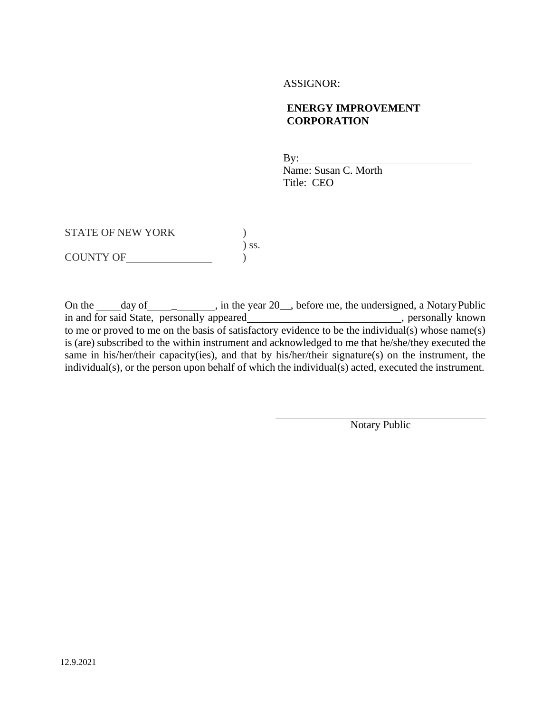## ASSIGNOR:

## **ENERGY IMPROVEMENT CORPORATION**

By: Name: Susan C. Morth Title: CEO

STATE OF NEW YORK  $)$ ) ss. COUNTY OF )

On the <u>day of definition of ear</u>, in the year 20<sub>\_\_</sub>, before me, the undersigned, a Notary Public in and for said State, personally appeared\_\_\_\_\_\_\_\_\_\_\_\_\_\_\_\_\_\_\_\_\_\_\_\_\_\_\_\_, personally known to me or proved to me on the basis of satisfactory evidence to be the individual(s) whose name(s) is (are) subscribed to the within instrument and acknowledged to me that he/she/they executed the same in his/her/their capacity(ies), and that by his/her/their signature(s) on the instrument, the individual(s), or the person upon behalf of which the individual(s) acted, executed the instrument.

Notary Public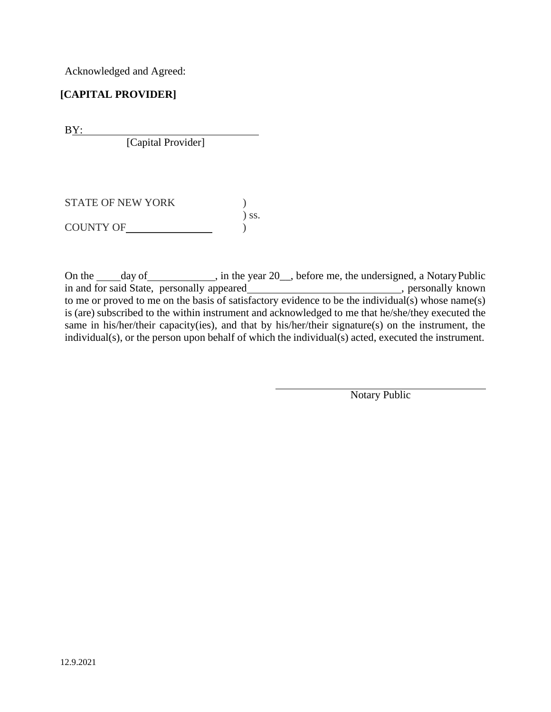Acknowledged and Agreed:

## **[CAPITAL PROVIDER]**

BY:

[Capital Provider]

STATE OF NEW YORK  $)$ ) ss. COUNTY OF  $\qquad \qquad$ 

On the \_\_\_\_\_day of \_\_\_\_\_\_\_\_\_\_\_, in the year 20\_\_, before me, the undersigned, a Notary Public in and for said State, personally appeared\_\_\_\_\_\_\_\_\_\_\_\_\_\_\_\_\_\_\_\_\_\_\_\_\_\_\_\_, personally known to me or proved to me on the basis of satisfactory evidence to be the individual(s) whose name(s) is (are) subscribed to the within instrument and acknowledged to me that he/she/they executed the same in his/her/their capacity(ies), and that by his/her/their signature(s) on the instrument, the individual(s), or the person upon behalf of which the individual(s) acted, executed the instrument.

Notary Public